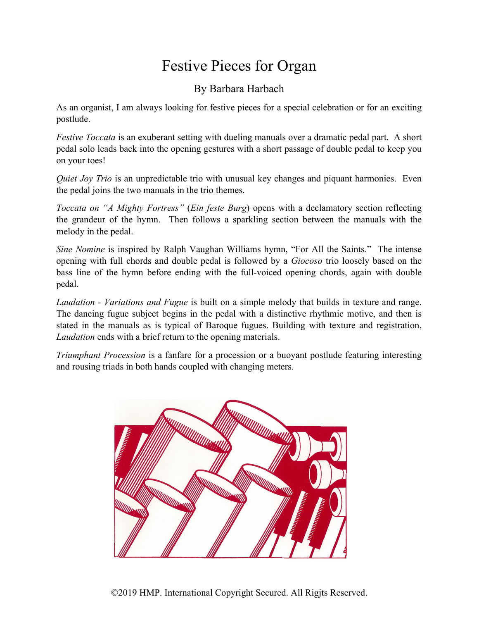#### Festive Pieces for Organ

#### By Barbara Harbach

As an organist, I am always looking for festive pieces for a special celebration or for an exciting postlude.

*Festive Toccata* is an exuberant setting with dueling manuals over a dramatic pedal part. A short pedal solo leads back into the opening gestures with a short passage of double pedal to keep you on your toes!

*Quiet Joy Trio* is an unpredictable trio with unusual key changes and piquant harmonies. Even the pedal joins the two manuals in the trio themes.

*Toccata on "A Mighty Fortress"* (*Ein feste Burg*) opens with a declamatory section reflecting the grandeur of the hymn. Then follows a sparkling section between the manuals with the melody in the pedal.

*Sine Nomine* is inspired by Ralph Vaughan Williams hymn, "For All the Saints." The intense opening with full chords and double pedal is followed by a *Giocoso* trio loosely based on the bass line of the hymn before ending with the full-voiced opening chords, again with double pedal.

*Laudation - Variations and Fugue* is built on a simple melody that builds in texture and range. The dancing fugue subject begins in the pedal with a distinctive rhythmic motive, and then is stated in the manuals as is typical of Baroque fugues. Building with texture and registration, *Laudation* ends with a brief return to the opening materials.

*Triumphant Procession* is a fanfare for a procession or a buoyant postlude featuring interesting and rousing triads in both hands coupled with changing meters.

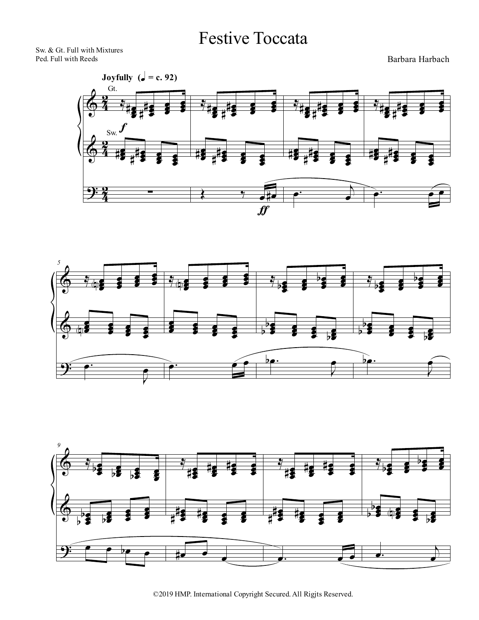#### Festive Toccata

Sw. & Gt. Full with Mixtures Ped. Full with Reeds

Barbara Harbach







<sup>©2019</sup> HMP. International Copyright Secured. All Rigjts Reserved.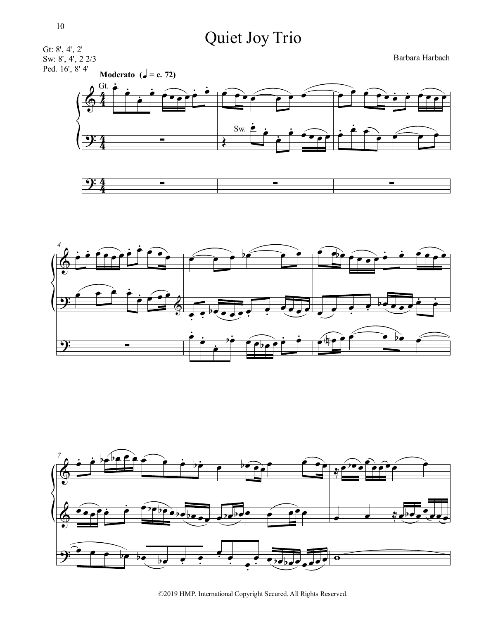# Quiet Joy Trio







©2019 HMP. International Copyright Secured. All Rights Reserved.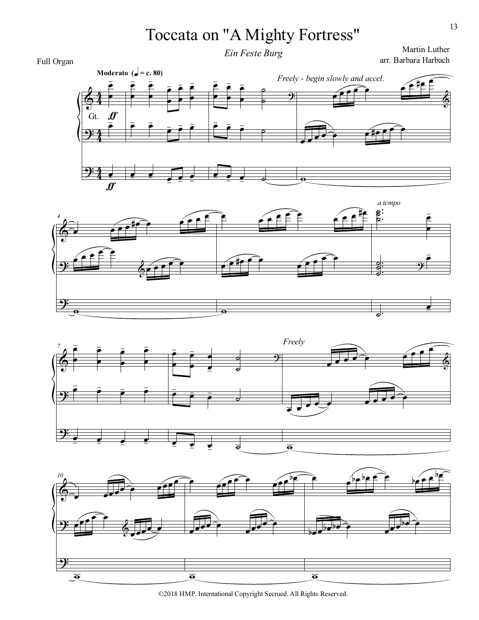# Toccata on "A Mighty Fortress"

*Ein Feste Burg*

Martin Luther arr. Barbara Harbach

#### $\Phi$  $\frac{1}{2}$  $\frac{1}{2}$  $rac{4}{4}$ 4  $rac{4}{4}$ 4  $rac{4}{4}$ 4 œ œ Moderato  $\left(\frac{1}{e}\right) = c. 80$ )<br>  $\frac{1}{e} \frac{1}{e} \frac{1}{e}$ ∼<br>E , ƒ œ  $\frac{1}{\sqrt{2}}$  $\boldsymbol{f}$ œ œ œ œ œ  $\overline{\bullet}$ œ  $\overline{P}$ œ , œ  $\bar{r}$ , œ  $\bar{e}$  $\bar{\bullet}$ ,  $\overline{\bullet}$  $\overline{\phantom{a}}$ œ  $\frac{\epsilon}{\cdot}$ , œ , œ  $\equiv$ œ œ , œ œ , œ œ ,  $\overline{P}$  $\overline{\phantom{0}}$  $\overline{9}$ œ , œ , œ ,  $\overline{a}$ œ  $\frac{\bullet}{\bullet}$  $\equiv$ œ  $\frac{1}{\sqrt{2}}$ œ  $\widehat{e}$ œ ∀œ É  $\Phi$  $\overrightarrow{•}$  $\mathbf{E}$ ϖ *Freely - begin slowly and accel.* Gt.







©2018 HMP. International Copyright Secrued. All Rights Reserved.

Full Organ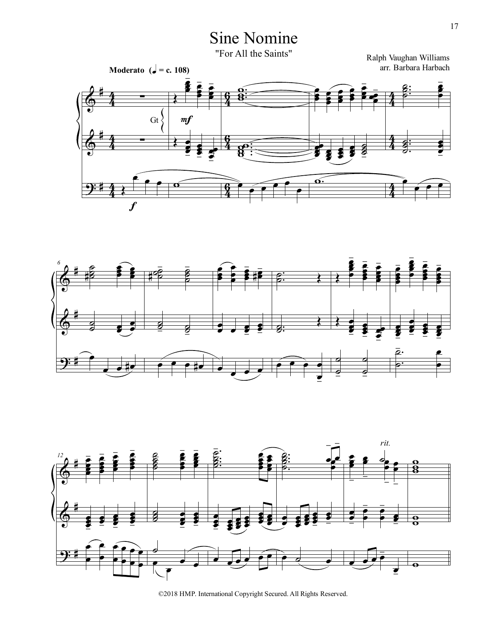### Sine Nomine

"For All the Saints"







©2018 HMP. International Copyright Secured. All Rights Reserved.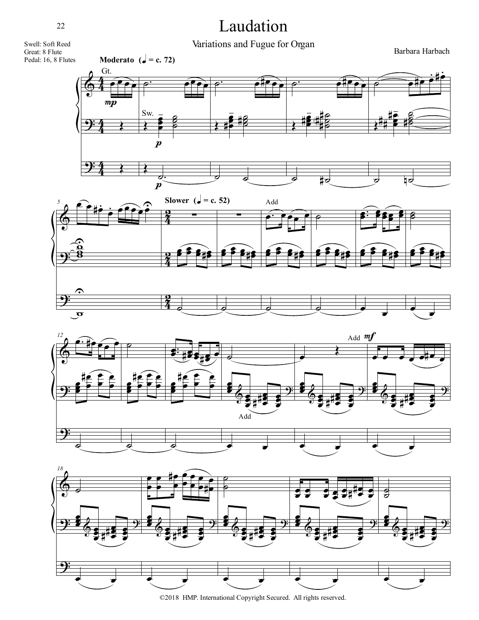### Laudation

Variations and Fugue for Organ

Barbara Harbach









©2018 HMP. International Copyright Secured. All rights reserved.

22

Swell: Soft Reed Great: 8 Flute